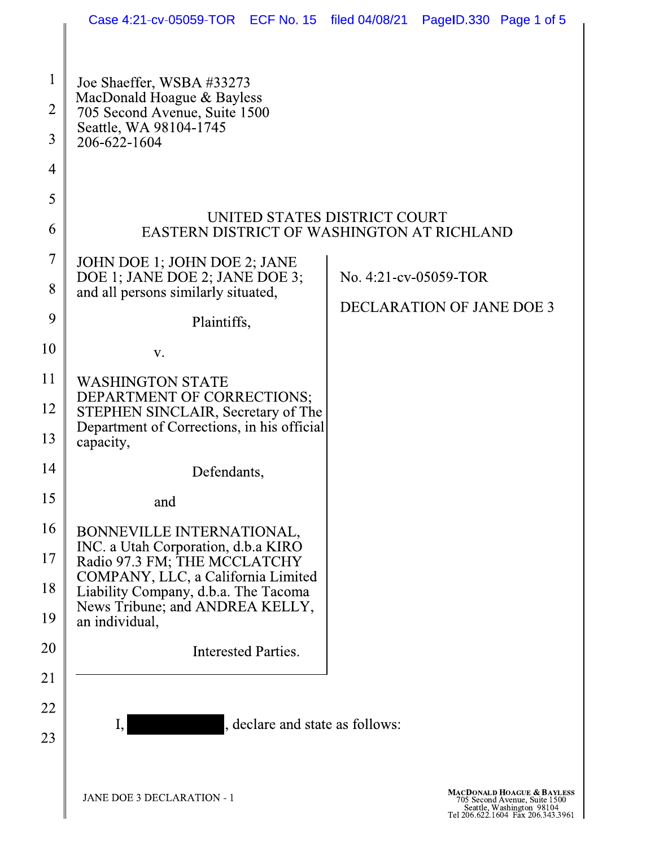|                               | Case 4:21-cv-05059-TOR ECF No. 15 filed 04/08/21                                                                            |  |                                  | PageID.330 Page 1 of 5 |                                                                                                                                          |  |
|-------------------------------|-----------------------------------------------------------------------------------------------------------------------------|--|----------------------------------|------------------------|------------------------------------------------------------------------------------------------------------------------------------------|--|
|                               |                                                                                                                             |  |                                  |                        |                                                                                                                                          |  |
| $\mathbf 1$<br>$\overline{2}$ | Joe Shaeffer, WSBA #33273<br>MacDonald Hoague & Bayless<br>705 Second Avenue, Suite 1500                                    |  |                                  |                        |                                                                                                                                          |  |
| 3                             | Seattle, WA 98104-1745<br>206-622-1604                                                                                      |  |                                  |                        |                                                                                                                                          |  |
| $\overline{4}$                |                                                                                                                             |  |                                  |                        |                                                                                                                                          |  |
| 5                             |                                                                                                                             |  |                                  |                        |                                                                                                                                          |  |
| 6                             | UNITED STATES DISTRICT COURT<br>EASTERN DISTRICT OF WASHINGTON AT RICHLAND                                                  |  |                                  |                        |                                                                                                                                          |  |
| $\overline{7}$                | JOHN DOE 1; JOHN DOE 2; JANE<br>DOE 1; JANE DOE 2; JANE DOE 3;                                                              |  |                                  | No. 4:21-cv-05059-TOR  |                                                                                                                                          |  |
| 8                             | and all persons similarly situated,                                                                                         |  | <b>DECLARATION OF JANE DOE 3</b> |                        |                                                                                                                                          |  |
| 9                             | Plaintiffs,                                                                                                                 |  |                                  |                        |                                                                                                                                          |  |
| 10                            | V.                                                                                                                          |  |                                  |                        |                                                                                                                                          |  |
| 11                            | <b>WASHINGTON STATE</b>                                                                                                     |  |                                  |                        |                                                                                                                                          |  |
| 12<br>13                      | DEPARTMENT OF CORRECTIONS;<br>STEPHEN SINCLAIR, Secretary of The<br>Department of Corrections, in his official<br>capacity, |  |                                  |                        |                                                                                                                                          |  |
| 14                            | Defendants,                                                                                                                 |  |                                  |                        |                                                                                                                                          |  |
| 15                            | and                                                                                                                         |  |                                  |                        |                                                                                                                                          |  |
| 16                            | BONNEVILLE INTERNATIONAL,                                                                                                   |  |                                  |                        |                                                                                                                                          |  |
| 17                            | INC. a Utah Corporation, d.b.a KIRO<br>Radio 97.3 FM; THE MCCLATCHY                                                         |  |                                  |                        |                                                                                                                                          |  |
| 18                            | COMPANY, LLC, a California Limited<br>Liability Company, d.b.a. The Tacoma                                                  |  |                                  |                        |                                                                                                                                          |  |
| 19                            | News Tribune; and ANDREA KELLY,<br>an individual,                                                                           |  |                                  |                        |                                                                                                                                          |  |
| 20                            | Interested Parties.                                                                                                         |  |                                  |                        |                                                                                                                                          |  |
| 21                            |                                                                                                                             |  |                                  |                        |                                                                                                                                          |  |
| 22                            | , declare and state as follows:                                                                                             |  |                                  |                        |                                                                                                                                          |  |
| 23                            |                                                                                                                             |  |                                  |                        |                                                                                                                                          |  |
|                               |                                                                                                                             |  |                                  |                        |                                                                                                                                          |  |
|                               | <b>JANE DOE 3 DECLARATION - 1</b>                                                                                           |  |                                  |                        | <b>MACDONALD HOAGUE &amp; BAYLESS</b><br>705 Second Avenue, Suite 1500<br>Seattle, Washington 98104<br>Tel 206.622.1604 Fax 206.343.3961 |  |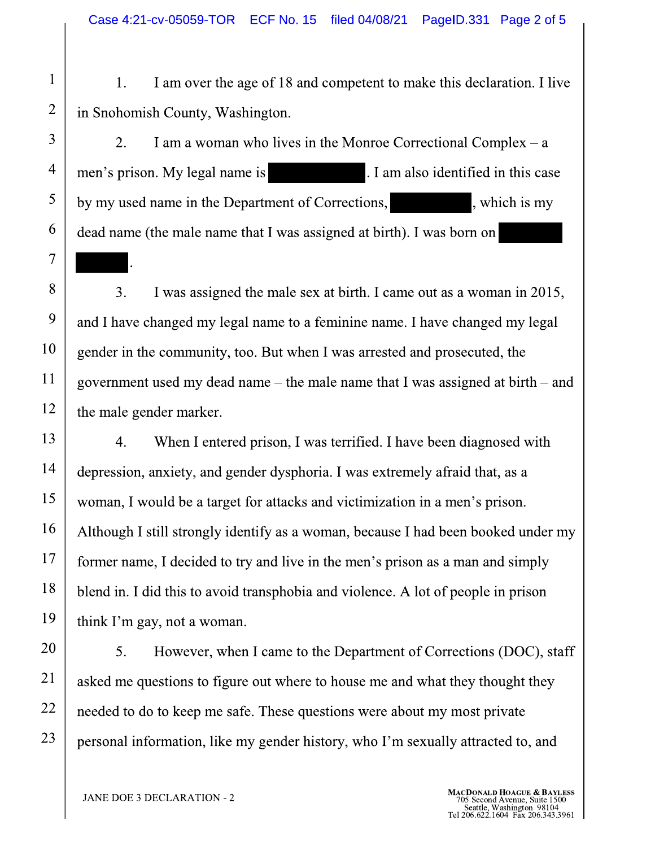1. 1 am over the age of 18 and competent to make this declaration. I live  $\vert$ in Snohomish County, Washington.

-Case 4:21-cv-05059-TOR<br>
1 1. I am over the a<br>
2 in Snohomish County, Was<br>
3 2. I am a woman<br>
1 men's prison. My legal nam<br>
by my used name in the De<br>
4 dead name (the male name in the De 2. I am a woman who lives in the Monroe Correctional Complex  $-$  a men's prison. My legal name is . I am also identified in this case by my used name in the Department of Corrections, , which is my  $\alpha$  and  $\alpha$  and  $\alpha$  and  $\alpha$  and  $\alpha$  at  $\alpha$  as assigned at birth). I was born on - 1990 - 1990 - 1990 - 1990 - 1990 - 1990 - 1990 - 1990 - 1990 - 1990 - 1990 - 1990 - 1990 - 1990 - 1990 - 19

> 8-I was assigned the male sex at birth. I came out as a woman in 2015, and I have changed my legal name to a feminine name. I have changed my legal gender in the community, too. But when I was arrested and prosecuted, the government used my dead name – the male name that I was assigned at birth – and  $\vert$ the male gender marker.

depression, anxiety, and gender dysphoria. I was extremely afraid that, as a 4. When I entered prison, I was terrified. I have been diagnosed with woman, I would be a target for attacks and victimization in a men's prison. Although I still strongly identify as a woman, because I had been booked under my  $\vert$ former name, I decided to try and live in the men's prison as a man and simply blend in. I did this to avoid transphobia and violence. A lot of people in prison think I´m gay, not a woman.

The Sexually attracted to, and<br>
MACDONALD HOAGUE & BAY<br>
TOS Second Avenue, Suite 15<br>
Tel 206.622.1604 Fax 206.343. <sup>1</sup><br>
1y attracted to, and<br>
MACDONALD HOAGUE & BAYLESS<br>
705 Second Avenue, Suite 1500<br>
Seattle, Washington 98104<br>
Tel 206.622.1604 Fax 206.343.3961 I'm sexually attracted to, and<br>MACDONALD HOAGUE & BAYLE<br>
705 Second Avenue, Suite 1500<br>
Tel 206.622.1604 Fax 206.343.390 5. However, when I came to the Department of Corrections (DOC), staff  $\vert$ asked me questions to figure out where to house me and what they thought they needed to do to keep me safe. These questions were about my most private personal information, like my gender history, who I'm sexually attracted to, and

-

 $\ddot{\phantom{0}}$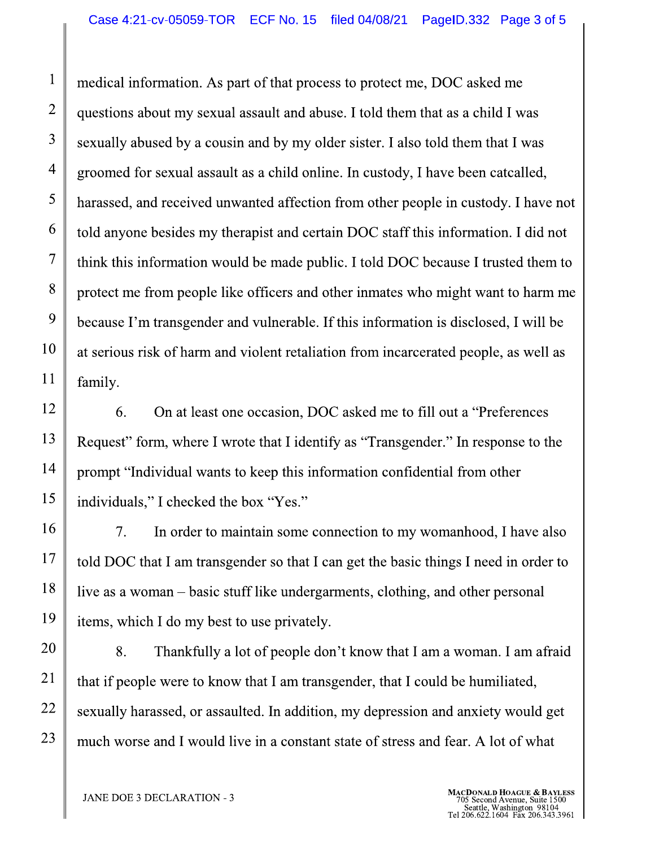medical information. As part of that process to protect me, DOC asked me questions about my sexual assault and abuse. I told them that as a child I was sexually abused by a cousin and by my older sister. I also told them that I was groomed for sexual assault as a child online. In custody, I have been catcalled, harassed, and received unwanted affection from other people in custody. I have not told anyone besides my therapist and certain DOC staff this information. I did not think this information would be made public. I told DOC because I trusted them to protect me from people like officers and other inmates who might want to harm me because I'm transgender and vulnerable. If this information is disclosed, I will be at serious risk of harm and violent retaliation from incarcerated people, as well as family.

On at least one occasion, DOC asked me to fill out a "Preferences" 6. Request" form, where I wrote that I identify as "Transgender." In response to the prompt "Individual wants to keep this information confidential from other individuals," I checked the box "Yes."

 $7<sub>1</sub>$ In order to maintain some connection to my womanhood, I have also told DOC that I am transgender so that I can get the basic things I need in order to live as a woman – basic stuff like undergarments, clothing, and other personal items, which I do my best to use privately.

8. Thankfully a lot of people don't know that I am a woman. I am afraid that if people were to know that I am transgender, that I could be humiliated, sexually harassed, or assaulted. In addition, my depression and anxiety would get much worse and I would live in a constant state of stress and fear. A lot of what

 $\mathbf{1}$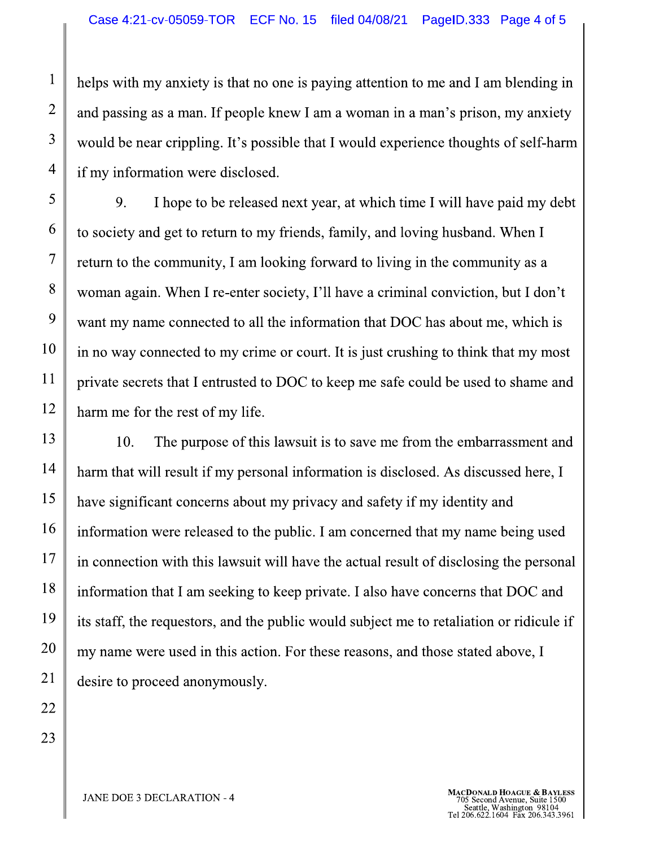helps with my anxiety is that no one is paying attention to me and I am blending in and passing as a man. If people knew I am a woman in a man's prison, my anxiety would be near crippling. It's possible that I would experience thoughts of self-harm if my information were disclosed.

9. I hope to be released next year, at which time I will have paid my debt to society and get to return to my friends, family, and loving husband. When I return to the community, I am looking forward to living in the community as a woman again. When I re-enter society, I'll have a criminal conviction, but I don't want my name connected to all the information that DOC has about me, which is in no way connected to my crime or court. It is just crushing to think that my most private secrets that I entrusted to DOC to keep me safe could be used to shame and harm me for the rest of my life.

13 10. The purpose of this lawsuit is to save me from the embarrassment and 14 harm that will result if my personal information is disclosed. As discussed here, I 15 have significant concerns about my privacy and safety if my identity and 16 information were released to the public. I am concerned that my name being used 17 in connection with this lawsuit will have the actual result of disclosing the personal 18 information that I am seeking to keep private. I also have concerns that DOC and 19 its staff, the requestors, and the public would subject me to retaliation or ridicule if 20 my name were used in this action. For these reasons, and those stated above, I 21 desire to proceed anonymously.

23

22

 $\mathbf{1}$ 

 $\overline{2}$ 

3

 $\overline{4}$ 

5

6

 $\tau$ 

8

9

10

11

12

**JANE DOE 3 DECLARATION - 4**